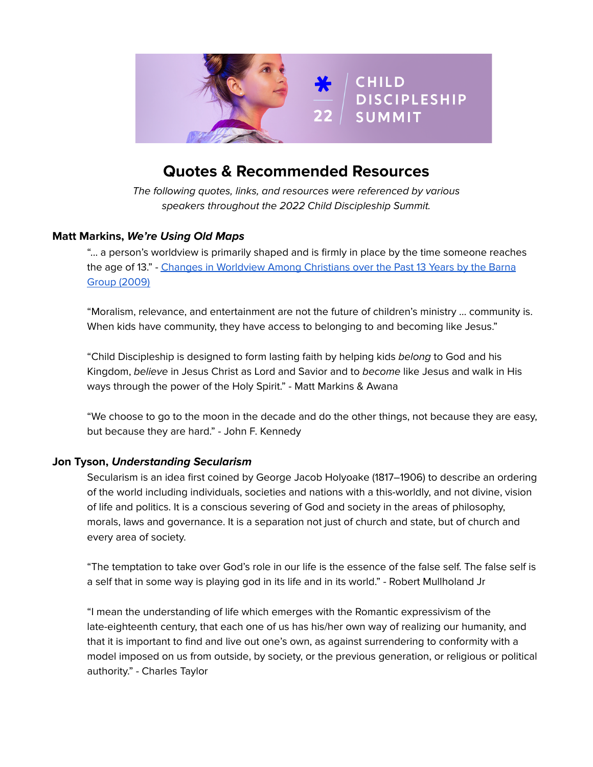

# **Quotes & Recommended Resources**

The following quotes, links, and resources were referenced by various speakers throughout the 2022 Child Discipleship Summit.

### **Matt Markins, We're Using Old Maps**

"... a person's worldview is primarily shaped and is firmly in place by the time someone reaches the age of 13." - Changes in [Worldview](https://www.barna.com/research/barna-survey-examines-changes-in-worldview-among-christians-over-the-past-13-years/) Among Christians over the Past 13 Years by the Barna Group [\(2009\)](https://www.barna.com/research/barna-survey-examines-changes-in-worldview-among-christians-over-the-past-13-years/)

"Moralism, relevance, and entertainment are not the future of children's ministry … community is. When kids have community, they have access to belonging to and becoming like Jesus."

"Child Discipleship is designed to form lasting faith by helping kids belong to God and his Kingdom, believe in Jesus Christ as Lord and Savior and to become like Jesus and walk in His ways through the power of the Holy Spirit." - Matt Markins & Awana

"We choose to go to the moon in the decade and do the other things, not because they are easy, but because they are hard." - John F. Kennedy

#### **Jon Tyson, Understanding Secularism**

Secularism is an idea first coined by George Jacob Holyoake (1817–1906) to describe an ordering of the world including individuals, societies and nations with a this-worldly, and not divine, vision of life and politics. It is a conscious severing of God and society in the areas of philosophy, morals, laws and governance. It is a separation not just of church and state, but of church and every area of society.

"The temptation to take over God's role in our life is the essence of the false self. The false self is a self that in some way is playing god in its life and in its world." - Robert Mullholand Jr

"I mean the understanding of life which emerges with the Romantic expressivism of the late-eighteenth century, that each one of us has his/her own way of realizing our humanity, and that it is important to find and live out one's own, as against surrendering to conformity with a model imposed on us from outside, by society, or the previous generation, or religious or political authority." - Charles Taylor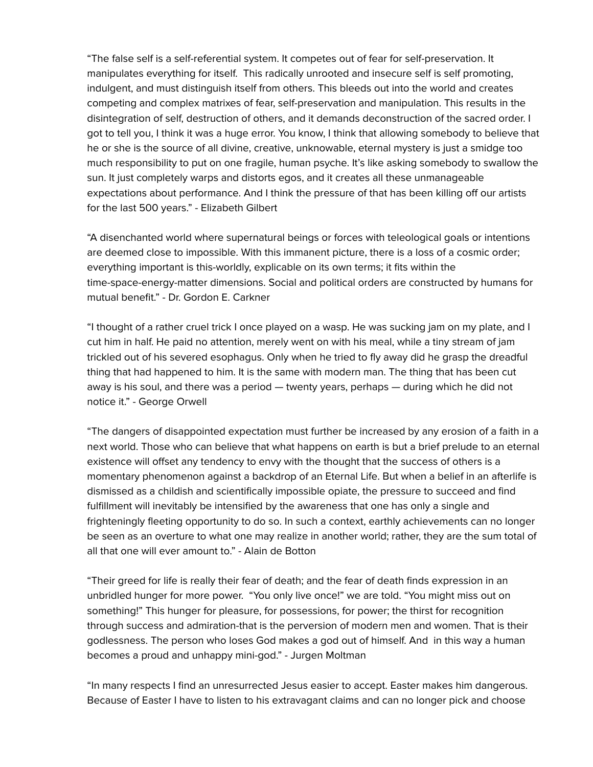"The false self is a self-referential system. It competes out of fear for self-preservation. It manipulates everything for itself. This radically unrooted and insecure self is self promoting, indulgent, and must distinguish itself from others. This bleeds out into the world and creates competing and complex matrixes of fear, self-preservation and manipulation. This results in the disintegration of self, destruction of others, and it demands deconstruction of the sacred order. I got to tell you, I think it was a huge error. You know, I think that allowing somebody to believe that he or she is the source of all divine, creative, unknowable, eternal mystery is just a smidge too much responsibility to put on one fragile, human psyche. It's like asking somebody to swallow the sun. It just completely warps and distorts egos, and it creates all these unmanageable expectations about performance. And I think the pressure of that has been killing off our artists for the last 500 years." - Elizabeth Gilbert

"A disenchanted world where supernatural beings or forces with teleological goals or intentions are deemed close to impossible. With this immanent picture, there is a loss of a cosmic order; everything important is this-worldly, explicable on its own terms; it fits within the time-space-energy-matter dimensions. Social and political orders are constructed by humans for mutual benefit." - Dr. Gordon E. Carkner

"I thought of a rather cruel trick I once played on a wasp. He was sucking jam on my plate, and I cut him in half. He paid no attention, merely went on with his meal, while a tiny stream of jam trickled out of his severed esophagus. Only when he tried to fly away did he grasp the dreadful thing that had happened to him. It is the same with modern man. The thing that has been cut away is his soul, and there was a period — twenty years, perhaps — during which he did not notice it." - George Orwell

"The dangers of disappointed expectation must further be increased by any erosion of a faith in a next world. Those who can believe that what happens on earth is but a brief prelude to an eternal existence will offset any tendency to envy with the thought that the success of others is a momentary phenomenon against a backdrop of an Eternal Life. But when a belief in an afterlife is dismissed as a childish and scientifically impossible opiate, the pressure to succeed and find fulfillment will inevitably be intensified by the awareness that one has only a single and frighteningly fleeting opportunity to do so. In such a context, earthly achievements can no longer be seen as an overture to what one may realize in another world; rather, they are the sum total of all that one will ever amount to" - Alain de Botton

"Their greed for life is really their fear of death; and the fear of death finds expression in an unbridled hunger for more power. "You only live once!" we are told. "You might miss out on something!" This hunger for pleasure, for possessions, for power; the thirst for recognition through success and admiration-that is the perversion of modern men and women. That is their godlessness. The person who loses God makes a god out of himself. And in this way a human becomes a proud and unhappy mini-god." - Jurgen Moltman

"In many respects I find an unresurrected Jesus easier to accept. Easter makes him dangerous. Because of Easter I have to listen to his extravagant claims and can no longer pick and choose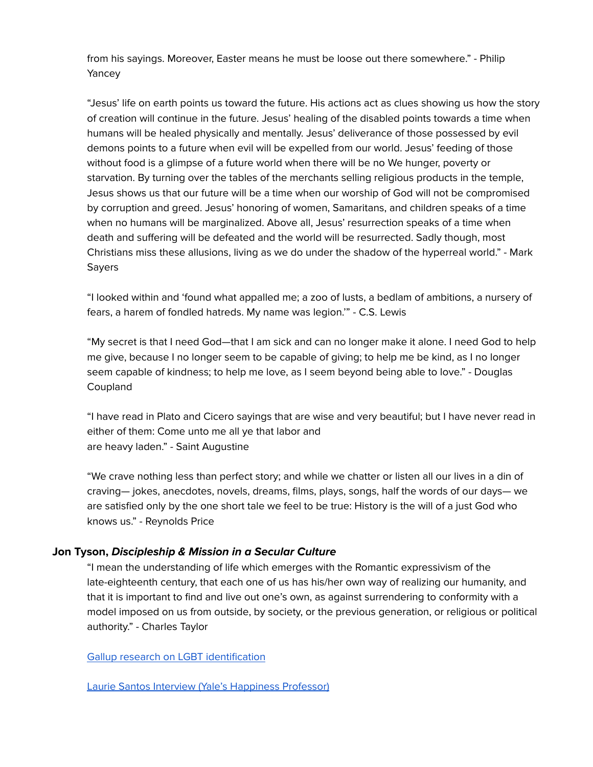from his sayings. Moreover, Easter means he must be loose out there somewhere." - Philip Yancey

"Jesus' life on earth points us toward the future. His actions act as clues showing us how the story of creation will continue in the future. Jesus' healing of the disabled points towards a time when humans will be healed physically and mentally. Jesus' deliverance of those possessed by evil demons points to a future when evil will be expelled from our world. Jesus' feeding of those without food is a glimpse of a future world when there will be no We hunger, poverty or starvation. By turning over the tables of the merchants selling religious products in the temple, Jesus shows us that our future will be a time when our worship of God will not be compromised by corruption and greed. Jesus' honoring of women, Samaritans, and children speaks of a time when no humans will be marginalized. Above all, Jesus' resurrection speaks of a time when death and suffering will be defeated and the world will be resurrected. Sadly though, most Christians miss these allusions, living as we do under the shadow of the hyperreal world." - Mark Sayers

"I looked within and 'found what appalled me; a zoo of lusts, a bedlam of ambitions, a nursery of fears, a harem of fondled hatreds. My name was legion.'" - C.S. Lewis

"My secret is that I need God—that I am sick and can no longer make it alone. I need God to help me give, because I no longer seem to be capable of giving; to help me be kind, as I no longer seem capable of kindness; to help me love, as I seem beyond being able to love." - Douglas **Coupland** 

"I have read in Plato and Cicero sayings that are wise and very beautiful; but I have never read in either of them: Come unto me all ye that labor and are heavy laden." - Saint Augustine

"We crave nothing less than perfect story; and while we chatter or listen all our lives in a din of craving— jokes, anecdotes, novels, dreams, films, plays, songs, half the words of our days— we are satisfied only by the one short tale we feel to be true: History is the will of a just God who knows us." - Reynolds Price

#### **Jon Tyson, Discipleship & Mission in a Secular Culture**

"I mean the understanding of life which emerges with the Romantic expressivism of the late-eighteenth century, that each one of us has his/her own way of realizing our humanity, and that it is important to find and live out one's own, as against surrendering to conformity with a model imposed on us from outside, by society, or the previous generation, or religious or political authority." - Charles Taylor

Gallup research on LGBT [identification](https://news.gallup.com/poll/329708/lgbt-identification-rises-latest-estimate.aspx)

Laurie Santos Interview (Yale's [Happiness](https://www.nytimes.com/interactive/2022/02/21/magazine/laurie-santos-interview.html) Professor)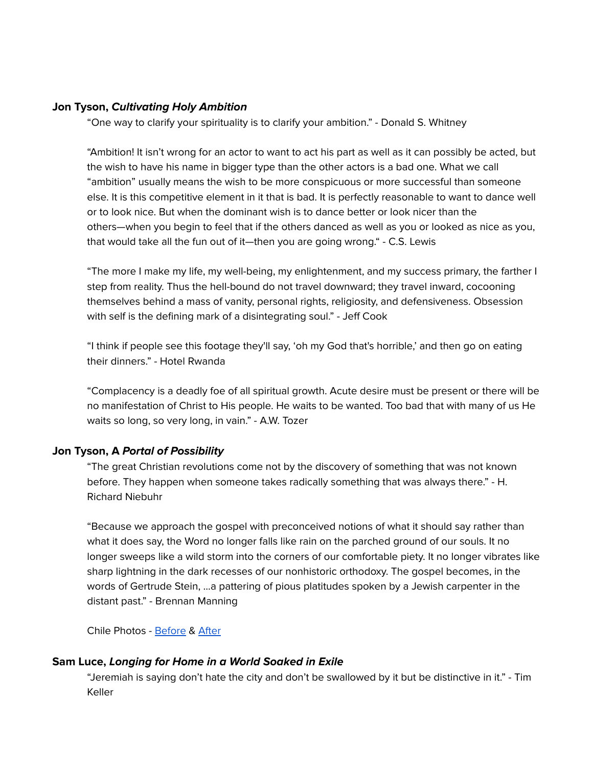#### **Jon Tyson, Cultivating Holy Ambition**

"One way to clarify your spirituality is to clarify your ambition." - Donald S. Whitney

"Ambition! It isn't wrong for an actor to want to act his part as well as it can possibly be acted, but the wish to have his name in bigger type than the other actors is a bad one. What we call "ambition" usually means the wish to be more conspicuous or more successful than someone else. It is this competitive element in it that is bad. It is perfectly reasonable to want to dance well or to look nice. But when the dominant wish is to dance better or look nicer than the others—when you begin to feel that if the others danced as well as you or looked as nice as you, that would take all the fun out of it—then you are going wrong." - C.S. Lewis

"The more I make my life, my well-being, my enlightenment, and my success primary, the farther I step from reality. Thus the hell-bound do not travel downward; they travel inward, cocooning themselves behind a mass of vanity, personal rights, religiosity, and defensiveness. Obsession with self is the defining mark of a disintegrating soul." - Jeff Cook

"I think if people see this footage they'll say, 'oh my God that's horrible,' and then go on eating their dinners." - Hotel Rwanda

"Complacency is a deadly foe of all spiritual growth. Acute desire must be present or there will be no manifestation of Christ to His people. He waits to be wanted. Too bad that with many of us He waits so long, so very long, in vain." - A.W. Tozer

#### **Jon Tyson, A Portal of Possibility**

"The great Christian revolutions come not by the discovery of something that was not known before. They happen when someone takes radically something that was always there." - H. Richard Niebuhr

"Because we approach the gospel with preconceived notions of what it should say rather than what it does say, the Word no longer falls like rain on the parched ground of our souls. It no longer sweeps like a wild storm into the corners of our comfortable piety. It no longer vibrates like sharp lightning in the dark recesses of our nonhistoric orthodoxy. The gospel becomes, in the words of Gertrude Stein, ...a pattering of pious platitudes spoken by a Jewish carpenter in the distant past." - Brennan Manning

Chile Photos - [Before](https://www.resilientdisciples.com/wp-content/uploads/2022/02/Chile-Before.jpg) & [After](https://www.resilientdisciples.com/wp-content/uploads/2022/02/Chile-After.jpg)

# **Sam Luce, Longing for Home in a World Soaked in Exile**

"Jeremiah is saying don't hate the city and don't be swallowed by it but be distinctive in it." - Tim Keller